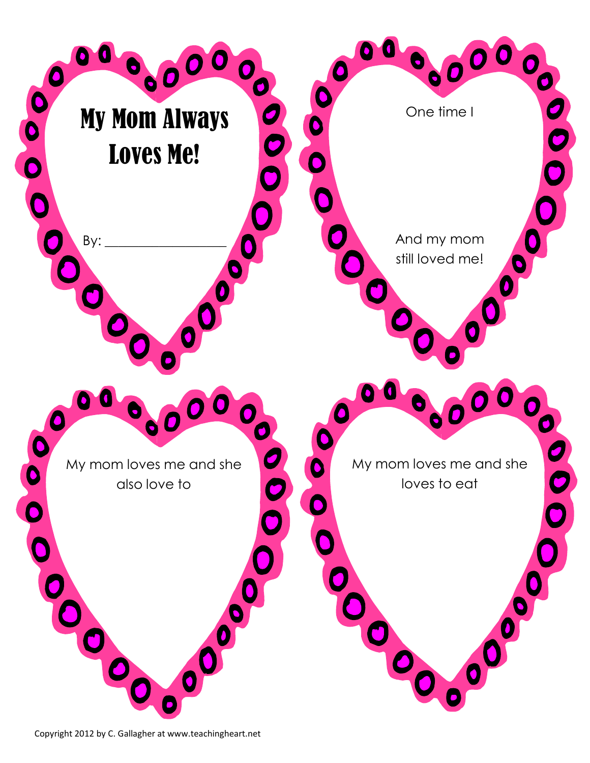